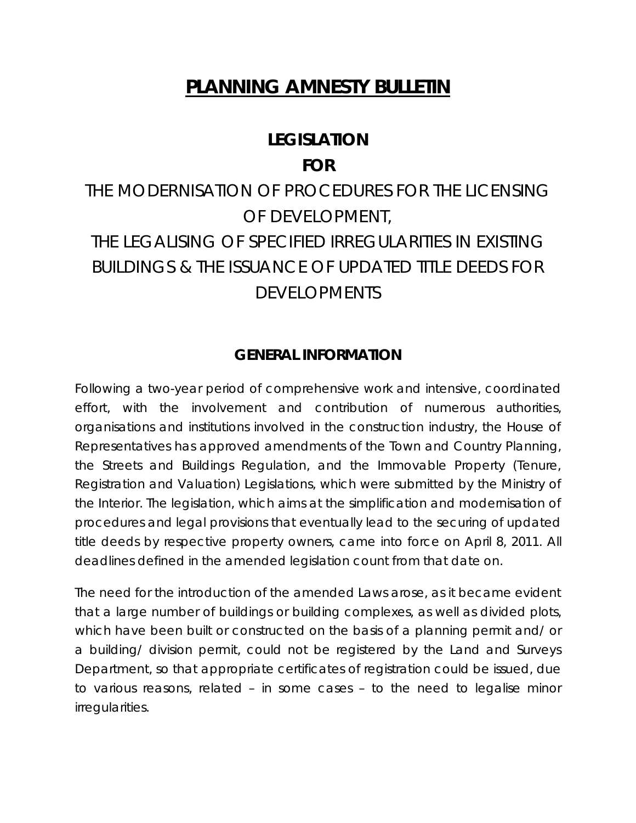# **PLANNING AMNESTY BULLETIN**

## **LEGISLATION**

### **FOR**

# THE MODERNISATION OF PROCEDURES FOR THE LICENSING OF DEVELOPMENT, THE LEGALISING OF SPECIFIED IRREGULARITIES IN EXISTING BUILDINGS & THE ISSUANCE OF UPDATED TITLE DEEDS FOR DEVELOPMENTS

## **GENERAL INFORMATION**

Following a two-year period of comprehensive work and intensive, coordinated effort, with the involvement and contribution of numerous authorities, organisations and institutions involved in the construction industry, the House of Representatives has approved amendments of the Town and Country Planning, the Streets and Buildings Regulation, and the Immovable Property (Tenure, Registration and Valuation) Legislations, which were submitted by the Ministry of the Interior. The legislation, which aims at the simplification and modernisation of procedures and legal provisions that eventually lead to the securing of updated title deeds by respective property owners, came into force on April 8, 2011. All deadlines defined in the amended legislation count from that date on.

The need for the introduction of the amended Laws arose, as it became evident that a large number of buildings or building complexes, as well as divided plots, which have been built or constructed on the basis of a planning permit and/ or a building/ division permit, could not be registered by the Land and Surveys Department, so that appropriate certificates of registration could be issued, due to various reasons, related – in some cases – to the need to legalise minor irregularities.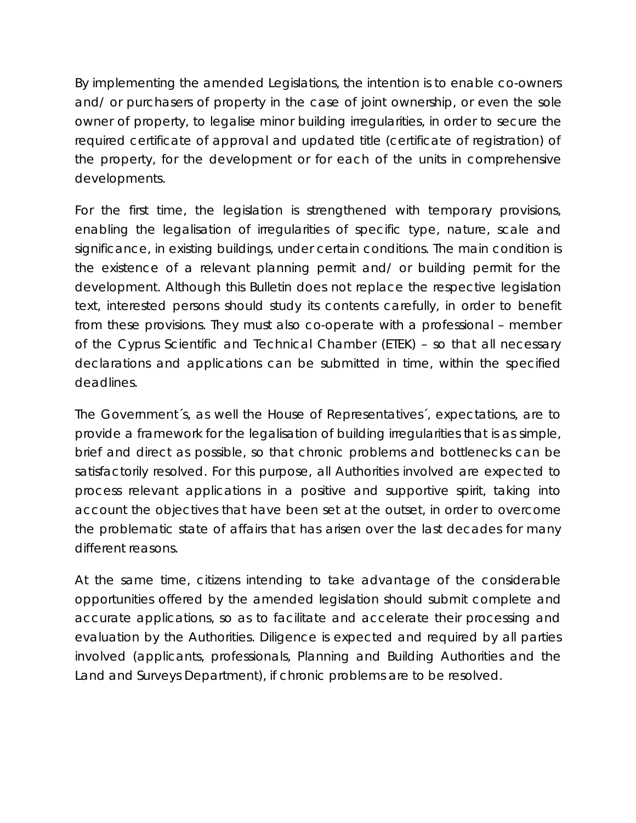By implementing the amended Legislations, the intention is to enable co-owners and/ or purchasers of property in the case of joint ownership, or even the sole owner of property, to legalise minor building irregularities, in order to secure the required certificate of approval and updated title (certificate of registration) of the property, for the development or for each of the units in comprehensive developments.

For the first time, the legislation is strengthened with temporary provisions, enabling the legalisation of irregularities of specific type, nature, scale and significance, in existing buildings, under certain conditions. The main condition is the existence of a relevant planning permit and/ or building permit for the development. Although this Bulletin does not replace the respective legislation text, interested persons should study its contents carefully, in order to benefit from these provisions. They must also co-operate with a professional – member of the Cyprus Scientific and Technical Chamber (ETEK) – so that all necessary declarations and applications can be submitted in time, within the specified deadlines.

The Government´s, as well the House of Representatives´, expectations, are to provide a framework for the legalisation of building irregularities that is as simple, brief and direct as possible, so that chronic problems and bottlenecks can be satisfactorily resolved. For this purpose, all Authorities involved are expected to process relevant applications in a positive and supportive spirit, taking into account the objectives that have been set at the outset, in order to overcome the problematic state of affairs that has arisen over the last decades for many different reasons.

At the same time, citizens intending to take advantage of the considerable opportunities offered by the amended legislation should submit complete and accurate applications, so as to facilitate and accelerate their processing and evaluation by the Authorities. Diligence is expected and required by all parties involved (applicants, professionals, Planning and Building Authorities and the Land and Surveys Department), if chronic problems are to be resolved.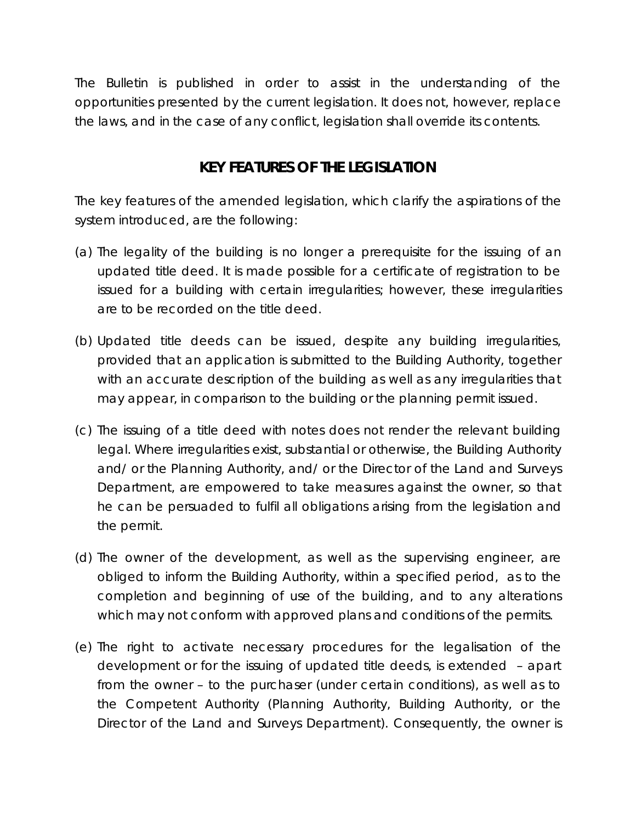The Bulletin is published in order to assist in the understanding of the opportunities presented by the current legislation. It does not, however, replace the laws, and in the case of any conflict, legislation shall override its contents.

## **KEY FEATURES OF THE LEGISLATION**

The key features of the amended legislation, which clarify the aspirations of the system introduced, are the following:

- (a) The legality of the building is no longer a prerequisite for the issuing of an updated title deed. It is made possible for a certificate of registration to be issued for a building with certain irregularities; however, these irregularities are to be recorded on the title deed.
- (b) Updated title deeds can be issued, despite any building irregularities, provided that an application is submitted to the Building Authority, together with an accurate description of the building as well as any irregularities that may appear, in comparison to the building or the planning permit issued.
- (c) The issuing of a title deed with notes does not render the relevant building legal. Where irregularities exist, substantial or otherwise, the Building Authority and/ or the Planning Authority, and/ or the Director of the Land and Surveys Department, are empowered to take measures against the owner, so that he can be persuaded to fulfil all obligations arising from the legislation and the permit.
- (d) The owner of the development, as well as the supervising engineer, are obliged to inform the Building Authority, within a specified period, as to the completion and beginning of use of the building, and to any alterations which may not conform with approved plans and conditions of the permits.
- (e) The right to activate necessary procedures for the legalisation of the development or for the issuing of updated title deeds, is extended – apart from the owner – to the purchaser (under certain conditions), as well as to the Competent Authority (Planning Authority, Building Authority, or the Director of the Land and Surveys Department). Consequently, the owner is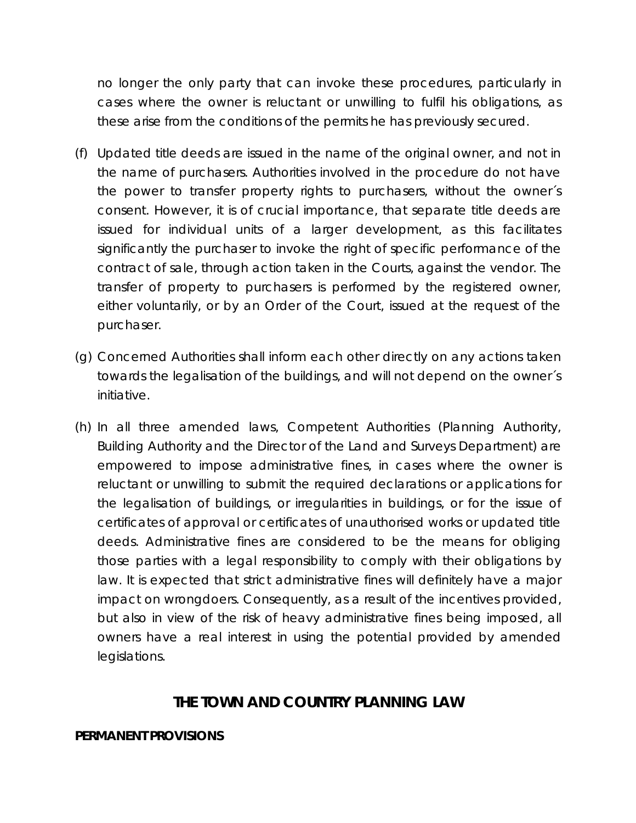no longer the only party that can invoke these procedures, particularly in cases where the owner is reluctant or unwilling to fulfil his obligations, as these arise from the conditions of the permits he has previously secured.

- (f) Updated title deeds are issued in the name of the original owner, and not in the name of purchasers. Authorities involved in the procedure do not have the power to transfer property rights to purchasers, without the owner´s consent. However, it is of crucial importance, that separate title deeds are issued for individual units of a larger development, as this facilitates significantly the purchaser to invoke the right of specific performance of the contract of sale, through action taken in the Courts, against the vendor. The transfer of property to purchasers is performed by the registered owner, either voluntarily, or by an Order of the Court, issued at the request of the purchaser.
- (g) Concerned Authorities shall inform each other directly on any actions taken towards the legalisation of the buildings, and will not depend on the owner´s initiative.
- (h) In all three amended laws, Competent Authorities (Planning Authority, Building Authority and the Director of the Land and Surveys Department) are empowered to impose administrative fines, in cases where the owner is reluctant or unwilling to submit the required declarations or applications for the legalisation of buildings, or irregularities in buildings, or for the issue of certificates of approval or certificates of unauthorised works or updated title deeds. Administrative fines are considered to be the means for obliging those parties with a legal responsibility to comply with their obligations by law. It is expected that strict administrative fines will definitely have a major impact on wrongdoers. Consequently, as a result of the incentives provided, but also in view of the risk of heavy administrative fines being imposed, all owners have a real interest in using the potential provided by amended legislations.

## **THE TOWN AND COUNTRY PLANNING LAW**

#### **PERMANENT PROVISIONS**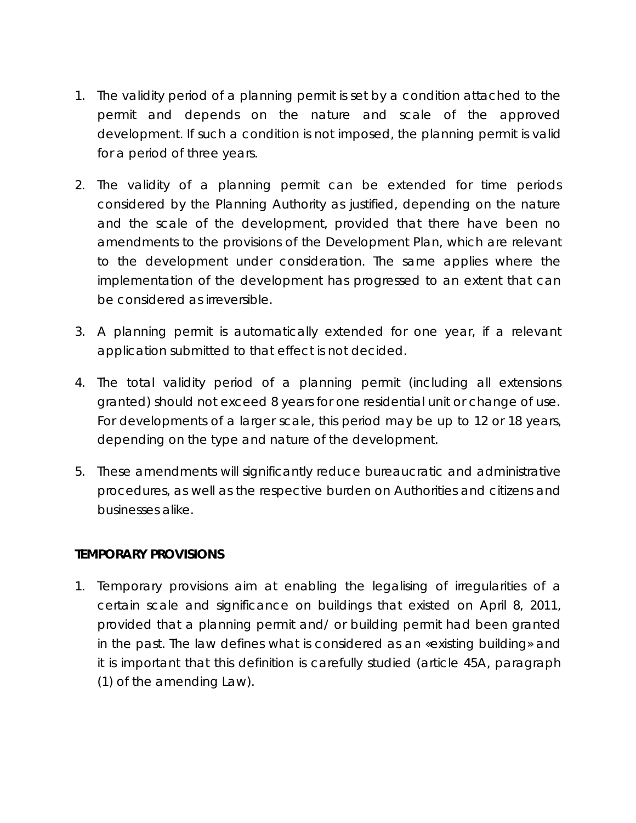- 1. The validity period of a planning permit is set by a condition attached to the permit and depends on the nature and scale of the approved development. If such a condition is not imposed, the planning permit is valid for a period of three years.
- 2. The validity of a planning permit can be extended for time periods considered by the Planning Authority as justified, depending on the nature and the scale of the development, provided that there have been no amendments to the provisions of the Development Plan, which are relevant to the development under consideration. The same applies where the implementation of the development has progressed to an extent that can be considered as irreversible.
- 3. A planning permit is automatically extended for one year, if a relevant application submitted to that effect is not decided.
- 4. The total validity period of a planning permit (including all extensions granted) should not exceed 8 years for one residential unit or change of use. For developments of a larger scale, this period may be up to 12 or 18 years, depending on the type and nature of the development.
- 5. These amendments will significantly reduce bureaucratic and administrative procedures, as well as the respective burden on Authorities and citizens and businesses alike.

#### **TEMPORARY PROVISIONS**

1. Temporary provisions aim at enabling the legalising of irregularities of a certain scale and significance on buildings that existed on April 8, 2011, provided that a planning permit and/ or building permit had been granted in the past. The law defines what is considered as an «existing building» and it is important that this definition is carefully studied (article 45A, paragraph (1) of the amending Law).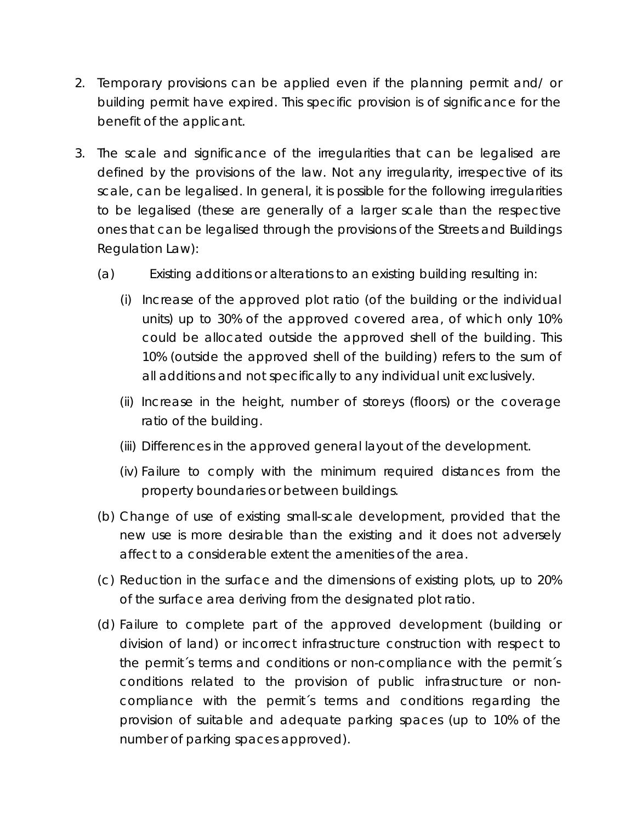- 2. Temporary provisions can be applied even if the planning permit and/ or building permit have expired. This specific provision is of significance for the benefit of the applicant.
- 3. The scale and significance of the irregularities that can be legalised are defined by the provisions of the law. Not any irregularity, irrespective of its scale, can be legalised. In general, it is possible for the following irregularities to be legalised (these are generally of a larger scale than the respective ones that can be legalised through the provisions of the Streets and Buildings Regulation Law):
	- (a) Existing additions or alterations to an existing building resulting in:
		- (i) Increase of the approved plot ratio (of the building or the individual units) up to 30% of the approved covered area, of which only 10% could be allocated outside the approved shell of the building. This 10% (outside the approved shell of the building) refers to the sum of all additions and not specifically to any individual unit exclusively.
		- (ii) Increase in the height, number of storeys (floors) or the coverage ratio of the building.
		- (iii) Differences in the approved general layout of the development.
		- (iv) Failure to comply with the minimum required distances from the property boundaries or between buildings.
	- (b) Change of use of existing small-scale development, provided that the new use is more desirable than the existing and it does not adversely affect to a considerable extent the amenities of the area.
	- (c) Reduction in the surface and the dimensions of existing plots, up to 20% of the surface area deriving from the designated plot ratio.
	- (d) Failure to complete part of the approved development (building or division of land) or incorrect infrastructure construction with respect to the permit´s terms and conditions or non-compliance with the permit´s conditions related to the provision of public infrastructure or noncompliance with the permit´s terms and conditions regarding the provision of suitable and adequate parking spaces (up to 10% of the number of parking spaces approved).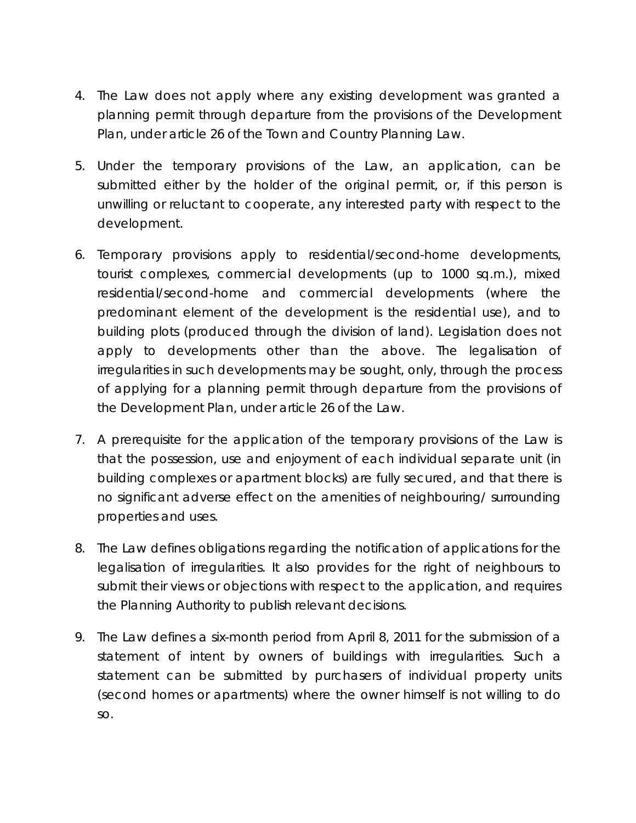- 4. The Law does not apply where any existing development was granted a planning permit through departure from the provisions of the Development Plan, under article 26 of the Town and Country Planning Law.
- 5. Under the temporary provisions of the Law, an application, can be submitted either by the holder of the original permit, or, if this person is unwilling or reluctant to cooperate, any interested party with respect to the development.
- 6. Temporary provisions apply to residential/second-home developments, tourist complexes, commercial developments (up to 1000 sq.m.), mixed residential/second-home and commercial developments (where the predominant element of the development is the residential use), and to building plots (produced through the division of land). Legislation does not apply to developments other than the above. The legalisation of irregularities in such developments may be sought, only, through the process of applying for a planning permit through departure from the provisions of the Development Plan, under article 26 of the Law.
- 7. A prerequisite for the application of the temporary provisions of the Law is that the possession, use and enjoyment of each individual separate unit (in building complexes or apartment blocks) are fully secured, and that there is no significant adverse effect on the amenities of neighbouring/ surrounding properties and uses.
- 8. The Law defines obligations regarding the notification of applications for the legalisation of irregularities. It also provides for the right of neighbours to submit their views or objections with respect to the application, and requires the Planning Authority to publish relevant decisions.
- 9. The Law defines a six-month period from April 8, 2011 for the submission of a statement of intent by owners of buildings with irregularities. Such a statement can be submitted by purchasers of individual property units (second homes or apartments) where the owner himself is not willing to do so.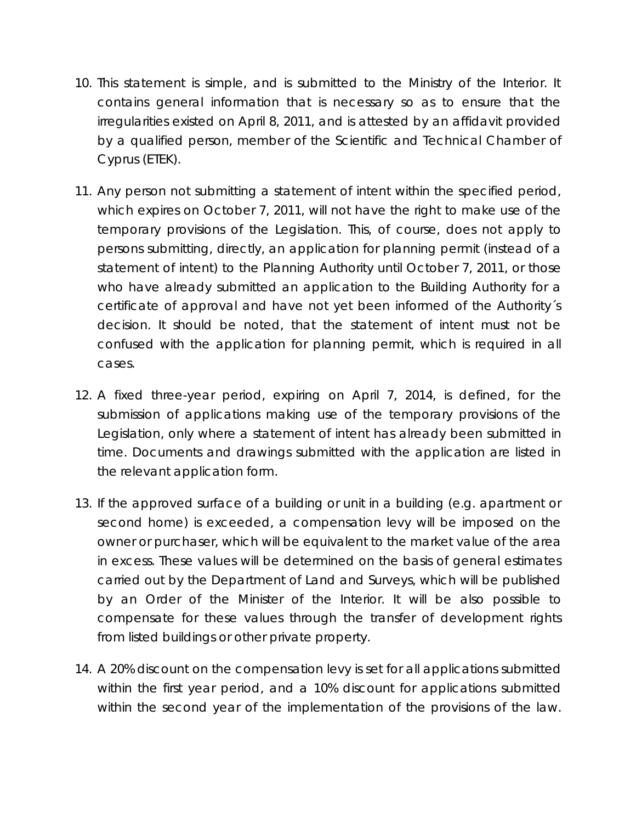- 10. This statement is simple, and is submitted to the Ministry of the Interior. It contains general information that is necessary so as to ensure that the irregularities existed on April 8, 2011, and is attested by an affidavit provided by a qualified person, member of the Scientific and Technical Chamber of Cyprus (ETEK).
- 11. Any person not submitting a statement of intent within the specified period, which expires on October 7, 2011, will not have the right to make use of the temporary provisions of the Legislation. This, of course, does not apply to persons submitting, directly, an application for planning permit (instead of a statement of intent) to the Planning Authority until October 7, 2011, or those who have already submitted an application to the Building Authority for a certificate of approval and have not yet been informed of the Authority´s decision. It should be noted, that the statement of intent must not be confused with the application for planning permit, which is required in all cases.
- 12. A fixed three-year period, expiring on April 7, 2014, is defined, for the submission of applications making use of the temporary provisions of the Legislation, only where a statement of intent has already been submitted in time. Documents and drawings submitted with the application are listed in the relevant application form.
- 13. If the approved surface of a building or unit in a building (e.g. apartment or second home) is exceeded, a compensation levy will be imposed on the owner or purchaser, which will be equivalent to the market value of the area in excess. These values will be determined on the basis of general estimates carried out by the Department of Land and Surveys, which will be published by an Order of the Minister of the Interior. It will be also possible to compensate for these values through the transfer of development rights from listed buildings or other private property.
- 14. A 20% discount on the compensation levy is set for all applications submitted within the first year period, and a 10% discount for applications submitted within the second year of the implementation of the provisions of the law.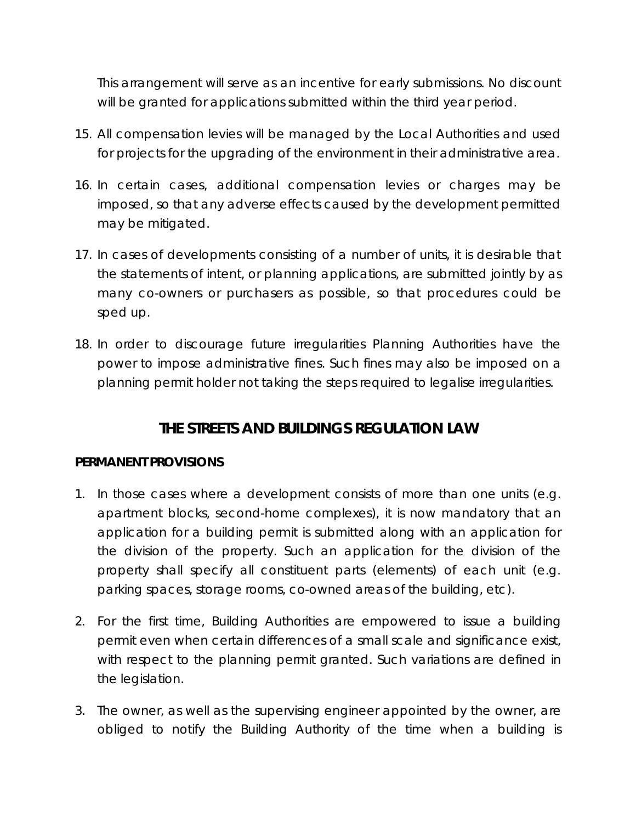This arrangement will serve as an incentive for early submissions. No discount will be granted for applications submitted within the third year period.

- 15. All compensation levies will be managed by the Local Authorities and used for projects for the upgrading of the environment in their administrative area.
- 16. In certain cases, additional compensation levies or charges may be imposed, so that any adverse effects caused by the development permitted may be mitigated.
- 17. In cases of developments consisting of a number of units, it is desirable that the statements of intent, or planning applications, are submitted jointly by as many co-owners or purchasers as possible, so that procedures could be sped up.
- 18. In order to discourage future irregularities Planning Authorities have the power to impose administrative fines. Such fines may also be imposed on a planning permit holder not taking the steps required to legalise irregularities.

## **THE STREETS AND BUILDINGS REGULATION LAW**

#### **PERMANENT PROVISIONS**

- 1. In those cases where a development consists of more than one units (e.g. apartment blocks, second-home complexes), it is now mandatory that an application for a building permit is submitted along with an application for the division of the property. Such an application for the division of the property shall specify all constituent parts (elements) of each unit (e.g. parking spaces, storage rooms, co-owned areas of the building, etc).
- 2. For the first time, Building Authorities are empowered to issue a building permit even when certain differences of a small scale and significance exist, with respect to the planning permit granted. Such variations are defined in the legislation.
- 3. The owner, as well as the supervising engineer appointed by the owner, are obliged to notify the Building Authority of the time when a building is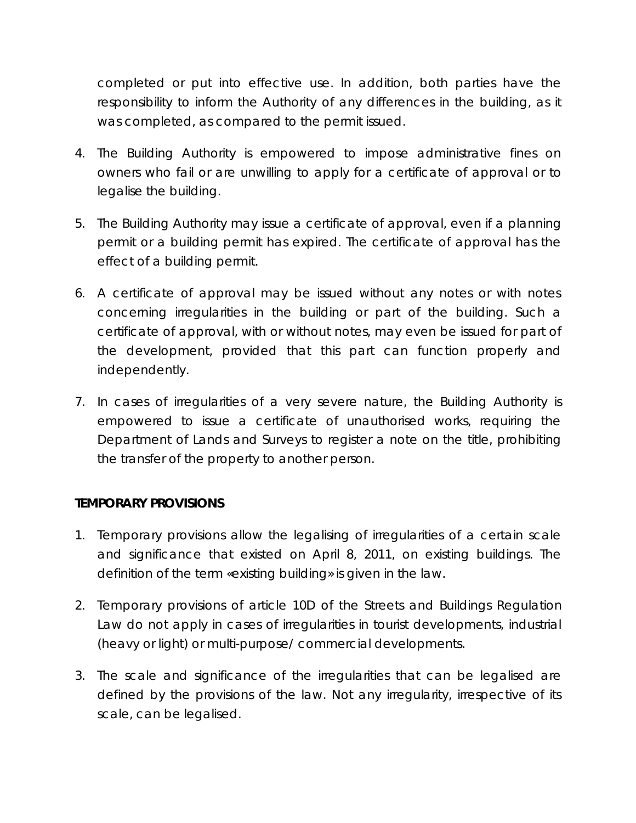completed or put into effective use. In addition, both parties have the responsibility to inform the Authority of any differences in the building, as it was completed, as compared to the permit issued.

- 4. The Building Authority is empowered to impose administrative fines on owners who fail or are unwilling to apply for a certificate of approval or to legalise the building.
- 5. The Building Authority may issue a certificate of approval, even if a planning permit or a building permit has expired. The certificate of approval has the effect of a building permit.
- 6. A certificate of approval may be issued without any notes or with notes concerning irregularities in the building or part of the building. Such a certificate of approval, with or without notes, may even be issued for part of the development, provided that this part can function properly and independently.
- 7. In cases of irregularities of a very severe nature, the Building Authority is empowered to issue a certificate of unauthorised works, requiring the Department of Lands and Surveys to register a note on the title, prohibiting the transfer of the property to another person.

#### **TEMPORARY PROVISIONS**

- 1. Temporary provisions allow the legalising of irregularities of a certain scale and significance that existed on April 8, 2011, on existing buildings. The definition of the term «existing building» is given in the law.
- 2. Temporary provisions of article 10D of the Streets and Buildings Regulation Law do not apply in cases of irregularities in tourist developments, industrial (heavy or light) or multi-purpose/ commercial developments.
- 3. The scale and significance of the irregularities that can be legalised are defined by the provisions of the law. Not any irregularity, irrespective of its scale, can be legalised.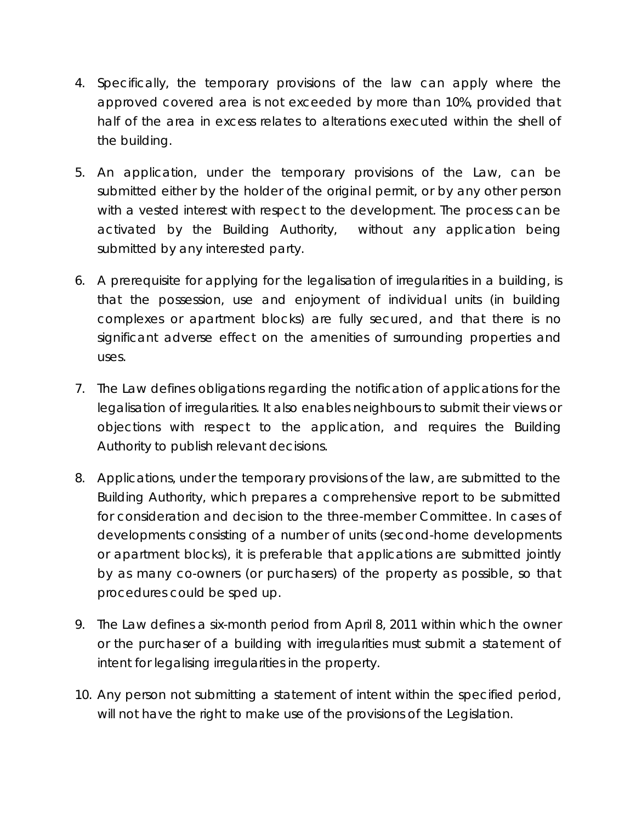- 4. Specifically, the temporary provisions of the law can apply where the approved covered area is not exceeded by more than 10%, provided that half of the area in excess relates to alterations executed within the shell of the building.
- 5. An application, under the temporary provisions of the Law, can be submitted either by the holder of the original permit, or by any other person with a vested interest with respect to the development. The process can be activated by the Building Authority, without any application being submitted by any interested party.
- 6. A prerequisite for applying for the legalisation of irregularities in a building, is that the possession, use and enjoyment of individual units (in building complexes or apartment blocks) are fully secured, and that there is no significant adverse effect on the amenities of surrounding properties and uses.
- 7. The Law defines obligations regarding the notification of applications for the legalisation of irregularities. It also enables neighbours to submit their views or objections with respect to the application, and requires the Building Authority to publish relevant decisions.
- 8. Applications, under the temporary provisions of the law, are submitted to the Building Authority, which prepares a comprehensive report to be submitted for consideration and decision to the three-member Committee. In cases of developments consisting of a number of units (second-home developments or apartment blocks), it is preferable that applications are submitted jointly by as many co-owners (or purchasers) of the property as possible, so that procedures could be sped up.
- 9. The Law defines a six-month period from April 8, 2011 within which the owner or the purchaser of a building with irregularities must submit a statement of intent for legalising irregularities in the property.
- 10. Any person not submitting a statement of intent within the specified period, will not have the right to make use of the provisions of the Legislation.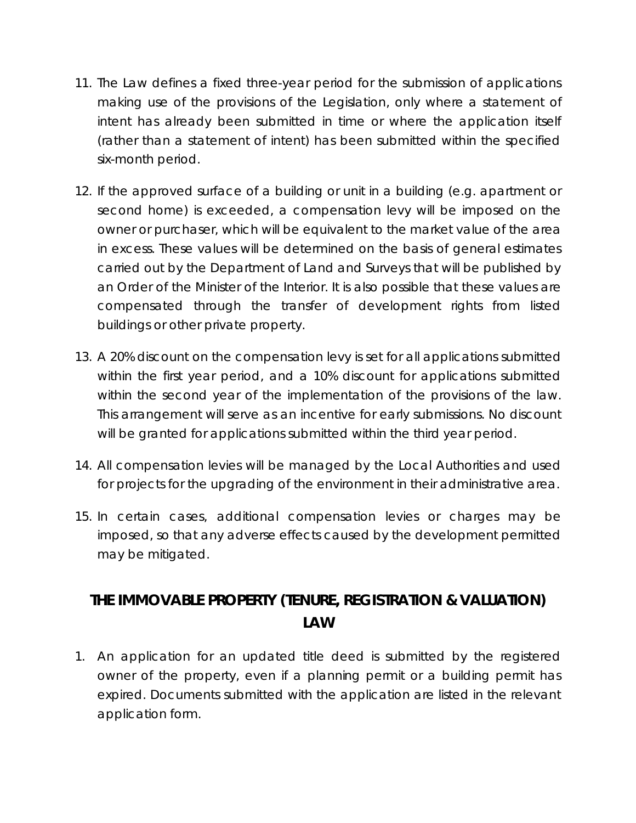- 11. The Law defines a fixed three-year period for the submission of applications making use of the provisions of the Legislation, only where a statement of intent has already been submitted in time or where the application itself (rather than a statement of intent) has been submitted within the specified six-month period.
- 12. If the approved surface of a building or unit in a building (e.g. apartment or second home) is exceeded, a compensation levy will be imposed on the owner or purchaser, which will be equivalent to the market value of the area in excess. These values will be determined on the basis of general estimates carried out by the Department of Land and Surveys that will be published by an Order of the Minister of the Interior. It is also possible that these values are compensated through the transfer of development rights from listed buildings or other private property.
- 13. A 20% discount on the compensation levy is set for all applications submitted within the first year period, and a 10% discount for applications submitted within the second year of the implementation of the provisions of the law. This arrangement will serve as an incentive for early submissions. No discount will be granted for applications submitted within the third year period.
- 14. All compensation levies will be managed by the Local Authorities and used for projects for the upgrading of the environment in their administrative area.
- 15. In certain cases, additional compensation levies or charges may be imposed, so that any adverse effects caused by the development permitted may be mitigated.

## **THE IMMOVABLE PROPERTY (TENURE, REGISTRATION & VALUATION) LAW**

1. An application for an updated title deed is submitted by the registered owner of the property, even if a planning permit or a building permit has expired. Documents submitted with the application are listed in the relevant application form.